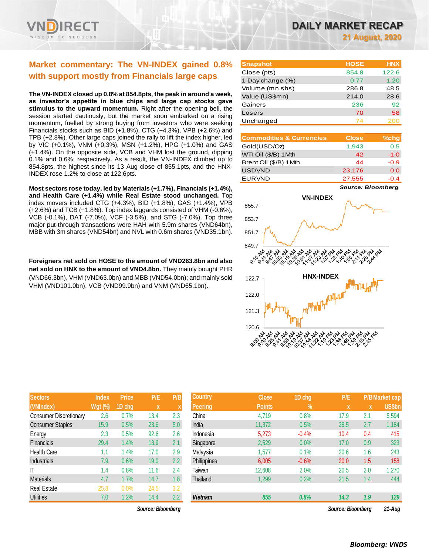

## **Market commentary: The VN-INDEX gained 0.8% with support mostly from Financials large caps**

**The VN-INDEX closed up 0.8% at 854.8pts, the peak in around a week, as investor's appetite in blue chips and large cap stocks gave stimulus to the upward momentum.** Right after the opening bell, the session started cautiously, but the market soon embarked on a rising momentum, fuelled by strong buying from investors who were seeking Financials stocks such as BID (+1.8%), CTG (+4.3%), VPB (+2.6%) and TPB (+2.8%). Other large caps joined the rally to lift the index higher, led by VIC (+0.1%), VNM (+0.3%), MSN (+1.2%), HPG (+1.0%) and GAS (+1.4%). On the opposite side, VCB and VHM lost the ground, dipping 0.1% and 0.6%, respectively. As a result, the VN-INDEX climbed up to 854.8pts, the highest since its 13 Aug close of 855.1pts, and the HNX-INDEX rose 1.2% to close at 122.6pts.

**Most sectors rose today, led by Materials (+1.7%), Financials (+1.4%), and Health Care (+1.4%) while Real Estate stood unchanged.** Top index movers included CTG (+4.3%), BID (+1.8%), GAS (+1.4%), VPB (+2.6%) and TCB (+1.8%). Top index laggards consisted of VHM (-0.6%), VCB (-0.1%), DAT (-7.0%), VCF (-3.5%), and STG (-7.0%). Top three major put-through transactions were HAH with 5.9m shares (VND64bn), MBB with 3m shares (VND54bn) and NVL with 0.6m shares (VND35.1bn).

**Foreigners net sold on HOSE to the amount of VND263.8bn and also net sold on HNX to the amount of VND4.8bn.** They mainly bought PHR (VND66.3bn), VHM (VND63.0bn) and MBB (VND54.0bn); and mainly sold VHM (VND101.0bn), VCB (VND99.9bn) and VNM (VND65.1bn).

| DAILY MARKET RECAP |                        |  |  |
|--------------------|------------------------|--|--|
|                    | <b>21 August, 2020</b> |  |  |

| <b>Snapshot</b>  | <b>HOSE</b> | <b>HNX</b> |
|------------------|-------------|------------|
| Close (pts)      | 854.8       | 122.6      |
| 1 Day change (%) | 0.77        | 1.20       |
| Volume (mn shs)  | 286.8       | 48.5       |
| Value (US\$mn)   | 214.0       | 28.6       |
| Gainers          | 236         | 92         |
| Losers           | 70          | 58         |
| Unchanged        | 74          |            |

| <b>Commodities &amp; Currencies</b> | <b>Close</b> | $%$ chg |
|-------------------------------------|--------------|---------|
| Gold(USD/Oz)                        | 1,943        | 0.5     |
| WTI Oil (\$/B) 1Mth                 | 42           | $-1.0$  |
| Brent Oil (\$/B) 1 Mth              | 44           | $-0.9$  |
| <b>USDVND</b>                       | 23,176       | 0.0     |
| <b>EURVND</b>                       | 27,555       |         |

*Source: Bloomberg*



| <b>Sectors</b>                | <b>Index</b>   | <b>Price</b> | P/E  | P/B |
|-------------------------------|----------------|--------------|------|-----|
| (VNIndex)                     | <b>Wgt (%)</b> | 1D chg       | X    | X   |
| <b>Consumer Discretionary</b> | 2.6            | 0.7%         | 13.4 | 2.3 |
| <b>Consumer Staples</b>       | 15.9           | 0.5%         | 23.6 | 5.0 |
| Energy                        | 2.3            | 0.5%         | 92.6 | 2.6 |
| <b>Financials</b>             | 29.4           | 1.4%         | 13.9 | 2.1 |
| Health Care                   | 1.1            | 1.4%         | 17.0 | 2.9 |
| <b>Industrials</b>            | 7.9            | 0.6%         | 19.0 | 2.2 |
| IT                            | 1.4            | 0.8%         | 11.6 | 2.4 |
| <b>Materials</b>              | 4.7            | 1.7%         | 14.7 | 1.8 |
| <b>Real Estate</b>            | 25.8           | 0.0%         | 24.5 | 3.2 |
| <b>Utilities</b>              | 7.0            | 1.2%         | 14.4 | 2.2 |

| <b>Sectors</b>                | <b>Index</b>   | <b>Price</b> | P/E               | P/B              | <b>Country</b> | <b>Close</b>  | 1D chg  | P/E               |     | <b>P/B Market cap</b> |
|-------------------------------|----------------|--------------|-------------------|------------------|----------------|---------------|---------|-------------------|-----|-----------------------|
| (VNIndex)                     | <b>Wgt (%)</b> | 1D chg       | $\mathbf{x}$      | X                | <b>Peering</b> | <b>Points</b> | $\%$    | X                 | X   | <b>US\$bn</b>         |
| <b>Consumer Discretionary</b> | 2.6            | 0.7%         | 13.4              | 2.3              | China          | 4,719         | 0.8%    | 17.9              | 2.1 | 5,594                 |
| <b>Consumer Staples</b>       | 15.9           | 0.5%         | 23.6              | 5.0              | India          | 11,372        | 0.5%    | 28.5              | 2.7 | 1,184                 |
| Energy                        | 2.3            | 0.5%         | 92.6              | 2.6              | Indonesia      | 5,273         | $-0.4%$ | 10.4              | 0.4 | 415                   |
| Financials                    | 29.4           | 1.4%         | 13.9              | 2.1              | Singapore      | 2,529         | 0.0%    | 17.0              | 0.9 | 323                   |
| Health Care                   | 1.1            | 1.4%         | 17.0              | 2.9              | Malaysia       | 1,577         | 0.1%    | 20.6              | 1.6 | 243                   |
| <b>Industrials</b>            | 7.9            | 0.6%         | 19.0              | $2.2^{\circ}$    | Philippines    | 6,005         | $-0.6%$ | 20.0              | 1.5 | 158                   |
| ΙT                            | 1.4            | 0.8%         | 11.6              | 2.4              | Taiwan         | 12,608        | 2.0%    | 20.5              | 2.0 | 1,270                 |
| <b>Materials</b>              | 4.7            | 1.7%         | 14.7              | 1.8 <sup>°</sup> | Thailand       | 1,299         | 0.2%    | 21.5              | 1.4 | 444                   |
| Real Estate                   | 25.8           | 0.0%         | 24.5              | 3.2              |                |               |         |                   |     |                       |
| <b>Utilities</b>              | 7.0            | 1.2%         | 14.4              | 2.2              | <b>Vietnam</b> | 855           | 0.8%    | 14.3              | 1.9 | 129                   |
|                               |                |              | Source: Bloomberg |                  |                |               |         | Source: Bloombera |     | $21 - Aug$            |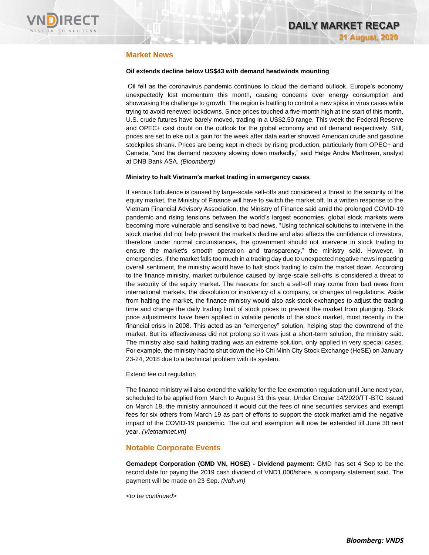

## **Market News**

#### **Oil extends decline below US\$43 with demand headwinds mounting**

Oil fell as the coronavirus pandemic continues to cloud the demand outlook. Europe's economy unexpectedly lost momentum this month, causing concerns over energy consumption and showcasing the challenge to growth. The region is battling to control a new spike in virus cases while trying to avoid renewed lockdowns. Since prices touched a five-month high at the start of this month, U.S. crude futures have barely moved, trading in a US\$2.50 range. This week the Federal Reserve and OPEC+ cast doubt on the outlook for the global economy and oil demand respectively. Still, prices are set to eke out a gain for the week after data earlier showed American crude and gasoline stockpiles shrank. Prices are being kept in check by rising production, particularly from OPEC+ and Canada, "and the demand recovery slowing down markedly," said Helge Andre Martinsen, analyst at DNB Bank ASA. *(Bloomberg)*

#### **Ministry to halt Vietnam's market trading in emergency cases**

If serious turbulence is caused by large-scale sell-offs and considered a threat to the security of the equity market, the Ministry of Finance will have to switch the market off. In a written response to the Vietnam Financial Advisory Association, the Ministry of Finance said amid the prolonged COVID-19 pandemic and rising tensions between the world's largest economies, global stock markets were becoming more vulnerable and sensitive to bad news. "Using technical solutions to intervene in the stock market did not help prevent the market's decline and also affects the confidence of investors, therefore under normal circumstances, the government should not intervene in stock trading to ensure the market's smooth operation and transparency," the ministry said. However, in emergencies, if the market falls too much in a trading day due to unexpected negative news impacting overall sentiment, the ministry would have to halt stock trading to calm the market down. According to the finance ministry, market turbulence caused by large-scale sell-offs is considered a threat to the security of the equity market. The reasons for such a sell-off may come from bad news from international markets, the dissolution or insolvency of a company, or changes of regulations. Aside from halting the market, the finance ministry would also ask stock exchanges to adjust the trading time and change the daily trading limit of stock prices to prevent the market from plunging. Stock price adjustments have been applied in volatile periods of the stock market, most recently in the financial crisis in 2008. This acted as an "emergency" solution, helping stop the downtrend of the market. But its effectiveness did not prolong so it was just a short-term solution, the ministry said. The ministry also said halting trading was an extreme solution, only applied in very special cases. For example, the ministry had to shut down the Ho Chi Minh City Stock Exchange (HoSE) on January 23-24, 2018 due to a technical problem with its system.

#### Extend fee cut regulation

The finance ministry will also extend the validity for the fee exemption regulation until June next year, scheduled to be applied from March to August 31 this year. Under Circular 14/2020/TT-BTC issued on March 18, the ministry announced it would cut the fees of nine securities services and exempt fees for six others from March 19 as part of efforts to support the stock market amid the negative impact of the COVID-19 pandemic. The cut and exemption will now be extended till June 30 next year. *(Vietnamnet.vn)*

#### **Notable Corporate Events**

**Gemadept Corporation (GMD VN, HOSE) - Dividend payment:** GMD has set 4 Sep to be the record date for paying the 2019 cash dividend of VND1,000/share, a company statement said. The payment will be made on 23 Sep. *(Ndh.vn)*

*<to be continued>*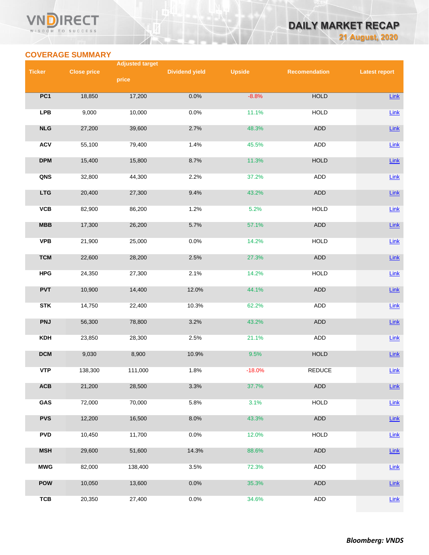#### VN **RECT** WISDOM TO SUCCESS

# **DAILY MARKET RECAP 21 August, 2020**

## **COVERAGE SUMMARY**

|               |                    | <b>Adjusted target</b> |                       |               |                      |                      |
|---------------|--------------------|------------------------|-----------------------|---------------|----------------------|----------------------|
| <b>Ticker</b> | <b>Close price</b> |                        | <b>Dividend yield</b> | <b>Upside</b> | <b>Recomendation</b> | <b>Latest report</b> |
|               |                    | price                  |                       |               |                      |                      |
| PC1           |                    |                        |                       | $-8.8%$       | <b>HOLD</b>          |                      |
|               | 18,850             | 17,200                 | 0.0%                  |               |                      | Link                 |
| <b>LPB</b>    | 9,000              | 10,000                 | 0.0%                  | 11.1%         | <b>HOLD</b>          | Link                 |
|               |                    |                        |                       |               |                      |                      |
| NLG           | 27,200             | 39,600                 | 2.7%                  | 48.3%         | <b>ADD</b>           | $Link$               |
|               |                    |                        |                       |               |                      |                      |
| <b>ACV</b>    | 55,100             | 79,400                 | 1.4%                  | 45.5%         | <b>ADD</b>           | $Link$               |
| <b>DPM</b>    | 15,400             | 15,800                 | 8.7%                  | 11.3%         | <b>HOLD</b>          | $Link$               |
|               |                    |                        |                       |               |                      |                      |
| QNS           | 32,800             | 44,300                 | 2.2%                  | 37.2%         | ADD                  | $Link$               |
|               |                    |                        |                       |               |                      |                      |
| <b>LTG</b>    | 20,400             | 27,300                 | 9.4%                  | 43.2%         | ADD                  | Link                 |
| VCB           | 82,900             | 86,200                 | 1.2%                  | 5.2%          | <b>HOLD</b>          | Link                 |
|               |                    |                        |                       |               |                      |                      |
| MBB           | 17,300             | 26,200                 | 5.7%                  | 57.1%         | <b>ADD</b>           | $Link$               |
|               |                    |                        |                       |               |                      |                      |
| <b>VPB</b>    | 21,900             | 25,000                 | 0.0%                  | 14.2%         | <b>HOLD</b>          | Link                 |
| <b>TCM</b>    | 22,600             | 28,200                 | 2.5%                  | 27.3%         | ADD                  | $Link$               |
|               |                    |                        |                       |               |                      |                      |
| <b>HPG</b>    | 24,350             | 27,300                 | 2.1%                  | 14.2%         | <b>HOLD</b>          | Link                 |
|               |                    |                        |                       |               |                      |                      |
| <b>PVT</b>    | 10,900             | 14,400                 | 12.0%                 | 44.1%         | ADD                  | Link                 |
| <b>STK</b>    | 14,750             | 22,400                 | 10.3%                 | 62.2%         | ADD                  | Link                 |
|               |                    |                        |                       |               |                      |                      |
| <b>PNJ</b>    | 56,300             | 78,800                 | 3.2%                  | 43.2%         | ADD                  | Link                 |
|               |                    |                        |                       |               |                      |                      |
| <b>KDH</b>    | 23,850             | 28,300                 | 2.5%                  | 21.1%         | ADD                  | Link                 |
| <b>DCM</b>    | 9,030              | 8,900                  | 10.9%                 | 9.5%          | <b>HOLD</b>          | $Link$               |
|               |                    |                        |                       |               |                      |                      |
| <b>VTP</b>    | 138,300            | 111,000                | 1.8%                  | $-18.0%$      | <b>REDUCE</b>        | Link                 |
|               |                    |                        |                       |               |                      |                      |
| ACB           | 21,200             | 28,500                 | 3.3%                  | 37.7%         | ADD                  | Link                 |
| GAS           | 72,000             | 70,000                 | 5.8%                  | 3.1%          | <b>HOLD</b>          | $Link$               |
|               |                    |                        |                       |               |                      |                      |
| <b>PVS</b>    | 12,200             | 16,500                 | 8.0%                  | 43.3%         | ADD                  | $Link$               |
|               |                    |                        |                       |               |                      |                      |
| <b>PVD</b>    | 10,450             | 11,700                 | 0.0%                  | 12.0%         | <b>HOLD</b>          | Link                 |
| <b>MSH</b>    | 29,600             | 51,600                 | 14.3%                 | 88.6%         | ADD                  | $Link$               |
|               |                    |                        |                       |               |                      |                      |
| <b>MWG</b>    | 82,000             | 138,400                | 3.5%                  | 72.3%         | ADD                  | $Link$               |
|               |                    |                        |                       |               |                      |                      |
| <b>POW</b>    | 10,050             | 13,600                 | 0.0%                  | 35.3%         | ADD                  | Link                 |
| <b>TCB</b>    | 20,350             | 27,400                 | 0.0%                  | 34.6%         | ADD                  | $Link$               |
|               |                    |                        |                       |               |                      |                      |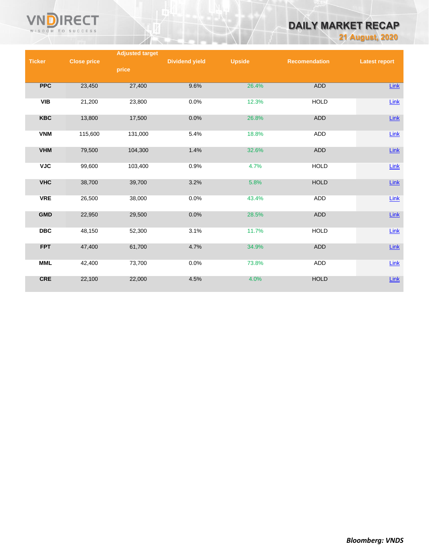

# **DAILY MARKET RECAP**

**21 August, 2020**

|               |                    | <b>Adjusted target</b> |                       |               |                      |                      |
|---------------|--------------------|------------------------|-----------------------|---------------|----------------------|----------------------|
| <b>Ticker</b> | <b>Close price</b> |                        | <b>Dividend yield</b> | <b>Upside</b> | <b>Recomendation</b> | <b>Latest report</b> |
|               |                    | price                  |                       |               |                      |                      |
|               |                    |                        |                       |               |                      |                      |
| <b>PPC</b>    | 23,450             | 27,400                 | 9.6%                  | 26.4%         | ADD                  | Link                 |
|               |                    |                        |                       |               |                      |                      |
| <b>VIB</b>    | 21,200             | 23,800                 | 0.0%                  | 12.3%         | <b>HOLD</b>          | Link                 |
|               |                    |                        |                       |               |                      |                      |
| <b>KBC</b>    | 13,800             | 17,500                 | 0.0%                  | 26.8%         | <b>ADD</b>           | $Link$               |
|               |                    |                        |                       |               |                      |                      |
| <b>VNM</b>    | 115,600            | 131,000                | 5.4%                  | 18.8%         | ADD                  | Link                 |
|               |                    |                        |                       |               |                      |                      |
| <b>VHM</b>    | 79,500             | 104,300                | 1.4%                  | 32.6%         | <b>ADD</b>           | Link                 |
|               |                    |                        |                       |               |                      |                      |
| <b>VJC</b>    | 99,600             | 103,400                | 0.9%                  | 4.7%          | <b>HOLD</b>          | Link                 |
|               |                    |                        |                       |               |                      |                      |
| <b>VHC</b>    |                    |                        |                       |               | <b>HOLD</b>          |                      |
|               | 38,700             | 39,700                 | 3.2%                  | 5.8%          |                      | $Link$               |
| <b>VRE</b>    | 26,500             | 38,000                 | 0.0%                  | 43.4%         | ADD                  |                      |
|               |                    |                        |                       |               |                      | $Link$               |
|               |                    |                        |                       |               |                      |                      |
| <b>GMD</b>    | 22,950             | 29,500                 | 0.0%                  | 28.5%         | <b>ADD</b>           | $Link$               |
|               |                    |                        |                       |               |                      |                      |
| <b>DBC</b>    | 48,150             | 52,300                 | 3.1%                  | 11.7%         | <b>HOLD</b>          | $Link$               |
|               |                    |                        |                       |               |                      |                      |
| <b>FPT</b>    | 47,400             | 61,700                 | 4.7%                  | 34.9%         | <b>ADD</b>           | $Link$               |
|               |                    |                        |                       |               |                      |                      |
| <b>MML</b>    | 42,400             | 73,700                 | 0.0%                  | 73.8%         | ADD                  | Link                 |
|               |                    |                        |                       |               |                      |                      |
| CRE           | 22,100             | 22,000                 | 4.5%                  | 4.0%          | <b>HOLD</b>          | $Link$               |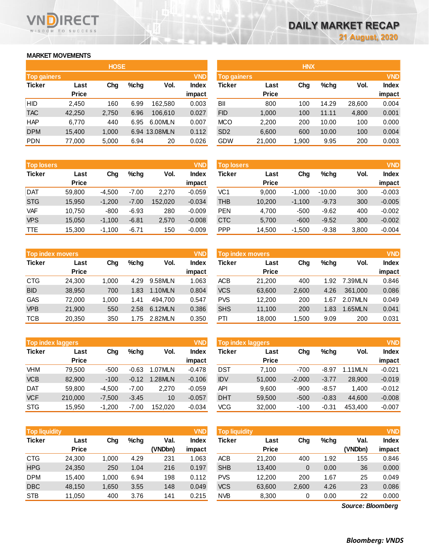## **MARKET MOVEMENTS**

WISDOM TO SUCCESS

NП

**RECT** 

| <b>HOSE</b>        |              |       |      |               |              |  |  |  |
|--------------------|--------------|-------|------|---------------|--------------|--|--|--|
| <b>Top gainers</b> |              |       |      |               | <b>VND</b>   |  |  |  |
| <b>Ticker</b>      | Last         | Cha   | %chq | Vol.          | <b>Index</b> |  |  |  |
|                    | <b>Price</b> |       |      |               | impact       |  |  |  |
| HID                | 2,450        | 160   | 6.99 | 162,580       | 0.003        |  |  |  |
| <b>TAC</b>         | 42,250       | 2,750 | 6.96 | 106,610       | 0.027        |  |  |  |
| <b>HAP</b>         | 6,770        | 440   | 6.95 | 6.00MLN       | 0.007        |  |  |  |
| <b>DPM</b>         | 15,400       | 1,000 |      | 6.94 13.08MLN | 0.112        |  |  |  |
| <b>PDN</b>         | 77,000       | 5,000 | 6.94 | 20            | 0.026        |  |  |  |

| <b>Top losers</b> |              |          |         |         | <b>VND</b>   |
|-------------------|--------------|----------|---------|---------|--------------|
| <b>Ticker</b>     | Last         | Cha      | %chq    | Vol.    | <b>Index</b> |
|                   | <b>Price</b> |          |         |         | impact       |
| <b>DAT</b>        | 59,800       | $-4,500$ | $-7.00$ | 2,270   | $-0.059$     |
| <b>STG</b>        | 15,950       | $-1,200$ | $-7.00$ | 152,020 | $-0.034$     |
| <b>VAF</b>        | 10,750       | $-800$   | $-6.93$ | 280     | $-0.009$     |
| <b>VPS</b>        | 15,050       | $-1,100$ | $-6.81$ | 2,570   | $-0.008$     |
| <b>TTE</b>        | 15,300       | $-1,100$ | $-6.71$ | 150     | $-0.009$     |

| <b>Top index movers</b> |              |       |      |         |              |  |  |
|-------------------------|--------------|-------|------|---------|--------------|--|--|
| <b>Ticker</b>           | Last         | Cha   | %chq | Vol.    | <b>Index</b> |  |  |
|                         | <b>Price</b> |       |      |         | impact       |  |  |
| <b>CTG</b>              | 24,300       | 1,000 | 4.29 | 9.58MLN | 1.063        |  |  |
| <b>BID</b>              | 38,950       | 700   | 1.83 | 1.10MLN | 0.804        |  |  |
| <b>GAS</b>              | 72,000       | 1,000 | 1.41 | 494,700 | 0.547        |  |  |
| <b>VPB</b>              | 21,900       | 550   | 2.58 | 6.12MLN | 0.386        |  |  |
| <b>TCB</b>              | 20,350       | 350   | 1.75 | 2.82MLN | 0.350        |  |  |

|               | <b>Top index laggers</b> |          |         |         | <b>VND</b>   |  |
|---------------|--------------------------|----------|---------|---------|--------------|--|
| <b>Ticker</b> | Last                     | Cha      | %chq    | Vol.    | <b>Index</b> |  |
|               | <b>Price</b>             |          |         |         | impact       |  |
| <b>VHM</b>    | 79,500                   | $-500$   | $-0.63$ | 1.07MLN | $-0.478$     |  |
| <b>VCB</b>    | 82,900                   | $-100$   | $-0.12$ | 1.28MLN | $-0.106$     |  |
| <b>DAT</b>    | 59,800                   | $-4,500$ | $-7.00$ | 2.270   | $-0.059$     |  |
| <b>VCF</b>    | 210,000                  | $-7,500$ | $-3.45$ | 10      | $-0.057$     |  |
| <b>STG</b>    | 15,950                   | $-1,200$ | $-7.00$ | 152,020 | $-0.034$     |  |

|                    |              | <b>HOSE</b> |         |               |              |                    |              | <b>HNX</b> |         |        |            |
|--------------------|--------------|-------------|---------|---------------|--------------|--------------------|--------------|------------|---------|--------|------------|
| <b>Top gainers</b> |              |             |         |               | <b>VND</b>   | <b>Top gainers</b> |              |            |         |        | <b>VND</b> |
| Ticker             | Last         | Chg         | $%$ chg | Vol.          | <b>Index</b> | Ticker             | Last         | Chg        | $%$ chg | Vol.   | Index      |
|                    | <b>Price</b> |             |         |               | impact       |                    | <b>Price</b> |            |         |        | impact     |
| HID                | 2,450        | 160         | 6.99    | 162,580       | 0.003        | BII                | 800          | 100        | 14.29   | 28,600 | 0.004      |
| <b>TAC</b>         | 42,250       | 2,750       | 6.96    | 106,610       | 0.027        | <b>FID</b>         | 1,000        | 100        | 11.11   | 4,800  | 0.001      |
| <b>HAP</b>         | 6,770        | 440         | 6.95    | 6.00MLN       | 0.007        | <b>MCO</b>         | 2,200        | 200        | 10.00   | 100    | 0.000      |
| <b>DPM</b>         | 15,400       | 1,000       |         | 6.94 13.08MLN | 0.112        | SD <sub>2</sub>    | 6,600        | 600        | 10.00   | 100    | 0.004      |
| PDN                | 77,000       | 5,000       | 6.94    | 20            | 0.026        | GDW                | 21,000       | 1,900      | 9.95    | 200    | 0.003      |
|                    |              |             |         |               |              |                    |              |            |         |        |            |

| <b>Top losers</b> |              |          |         |         | <b>VND</b>   | <b>Top losers</b> |              |          |          |       | <b>VND</b>   |
|-------------------|--------------|----------|---------|---------|--------------|-------------------|--------------|----------|----------|-------|--------------|
| Ticker            | Last         | Chg      | $%$ chg | Vol.    | <b>Index</b> | Ticker            | Last         | Chg      | $%$ chg  | Vol.  | <b>Index</b> |
|                   | <b>Price</b> |          |         |         | impact       |                   | <b>Price</b> |          |          |       | impact       |
| DAT               | 59.800       | $-4.500$ | $-7.00$ | 2.270   | $-0.059$     | VC1               | 9.000        | $-1.000$ | $-10.00$ | 300   | $-0.003$     |
| <b>STG</b>        | 15.950       | $-1.200$ | $-7.00$ | 152,020 | $-0.034$     | THB               | 10,200       | $-1.100$ | $-9.73$  | 300   | $-0.005$     |
| VAF               | 10.750       | $-800$   | $-6.93$ | 280     | $-0.009$     | <b>PEN</b>        | 4.700        | $-500$   | $-9.62$  | 400   | $-0.002$     |
| <b>VPS</b>        | 15.050       | $-1,100$ | $-6.81$ | 2,570   | $-0.008$     | <b>CTC</b>        | 5,700        | $-600$   | $-9.52$  | 300   | $-0.002$     |
| TTE               | 15,300       | $-1,100$ | $-6.71$ | 150     | $-0.009$     | <b>PPP</b>        | 14,500       | $-1,500$ | $-9.38$  | 3,800 | $-0.004$     |

| <b>Top index movers</b> |              |       |         |         | <b>VND</b>   | <b>Top index movers</b> |              |       |         |         | <b>VND</b>   |
|-------------------------|--------------|-------|---------|---------|--------------|-------------------------|--------------|-------|---------|---------|--------------|
| Ticker                  | Last         | Chg   | $%$ chq | Vol.    | <b>Index</b> | Ticker                  | Last         | Chg   | $%$ chg | Vol.    | <b>Index</b> |
|                         | <b>Price</b> |       |         |         | impact       |                         | <b>Price</b> |       |         |         | impact       |
| CTG                     | 24.300       | 1.000 | 4.29    | 9.58MLN | 1.063        | ACB                     | 21.200       | 400   | 1.92    | 7.39MLN | 0.846        |
| <b>BID</b>              | 38,950       | 700   | 1.83    | 1.10MLN | 0.804        | <b>VCS</b>              | 63,600       | 2,600 | 4.26    | 361,000 | 0.086        |
| GAS                     | 72.000       | 1.000 | 1.41    | 494.700 | 0.547        | <b>PVS</b>              | 12.200       | 200   | 1.67    | 2.07MLN | 0.049        |
| <b>VPB</b>              | 21,900       | 550   | 2.58    | 6.12MLN | 0.386        | <b>SHS</b>              | 11,100       | 200   | 1.83    | 1.65MLN | 0.041        |
| TCB                     | 20.350       | 350   | 1.75    | 2.82MLN | 0.350        | PTI                     | 18.000       | .500  | 9.09    | 200     | 0.031        |

| <b>Top index laggers</b> |              |          |         |         | <b>VND</b>   | Top index laggers |              |          |         |           | <b>VND</b>   |
|--------------------------|--------------|----------|---------|---------|--------------|-------------------|--------------|----------|---------|-----------|--------------|
| Ticker                   | Last         | Chg      | $%$ chq | Vol.    | <b>Index</b> | Ticker            | Last         | Chg      | $%$ chg | Vol.      | <b>Index</b> |
|                          | <b>Price</b> |          |         |         | impact       |                   | <b>Price</b> |          |         |           | impact       |
| VHM                      | 79.500       | $-500$   | $-0.63$ | 1.07MLN | $-0.478$     | DST               | 7.100        | $-700$   | $-8.97$ | $.11$ MLN | $-0.021$     |
| <b>VCB</b>               | 82,900       | $-100$   | $-0.12$ | 1.28MLN | $-0.106$     | <b>IDV</b>        | 51,000       | $-2,000$ | $-3.77$ | 28,900    | $-0.019$     |
| Dat                      | 59.800       | $-4.500$ | $-7.00$ | 2.270   | $-0.059$     | <b>API</b>        | 9.600        | $-900$   | $-8.57$ | 1.400     | $-0.012$     |
| <b>VCF</b>               | 210,000      | $-7,500$ | $-3.45$ | 10      | $-0.057$     | <b>DHT</b>        | 59,500       | $-500$   | $-0.83$ | 44.600    | $-0.008$     |
| <b>STG</b>               | 15,950       | $-1,200$ | $-7.00$ | 152.020 | $-0.034$     | VCG               | 32,000       | $-100$   | $-0.31$ | 453.400   | $-0.007$     |
|                          |              |          |         |         |              |                   |              |          |         |           |              |

| Top liquidity |                      |       |         |                 | <b>VND</b>             | <b>Top liquidity</b> |                      |       |         |                   | <b>VND</b>             |
|---------------|----------------------|-------|---------|-----------------|------------------------|----------------------|----------------------|-------|---------|-------------------|------------------------|
| <b>Ticker</b> | Last<br><b>Price</b> | Chg   | $%$ chg | Val.<br>(VNDbn) | <b>Index</b><br>impact | Ticker               | Last<br><b>Price</b> | Chg   | $%$ chg | Val.<br>(VNDbn)   | <b>Index</b><br>impact |
| <b>CTG</b>    | 24,300               | 1,000 | 4.29    | 231             | 1.063                  | <b>ACB</b>           | 21.200               | 400   | 1.92    | 155               | 0.846                  |
| <b>HPG</b>    | 24,350               | 250   | 1.04    | 216             | 0.197                  | <b>SHB</b>           | 13,400               | 0     | 0.00    | 36                | 0.000                  |
| <b>DPM</b>    | 15,400               | 1,000 | 6.94    | 198             | 0.112                  | <b>PVS</b>           | 12,200               | 200   | 1.67    | 25                | 0.049                  |
| <b>DBC</b>    | 48,150               | 1,650 | 3.55    | 148             | 0.049                  | <b>VCS</b>           | 63,600               | 2,600 | 4.26    | 23                | 0.086                  |
| <b>STB</b>    | 11,050               | 400   | 3.76    | 141             | 0.215                  | <b>NVB</b>           | 8,300                | 0     | 0.00    | 22                | 0.000                  |
|               |                      |       |         |                 |                        |                      |                      |       |         | Source: Bloomberg |                        |

*Source: Bloomberg*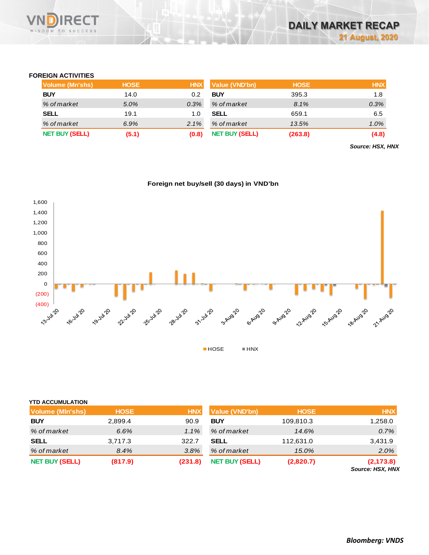

### **FOREIGN ACTIVITIES**

| Volume (Mn'shs)       | <b>HOSE</b> | <b>HNX</b> | Value (VND'bn)        | <b>HOSE</b> | <b>HNX</b> |
|-----------------------|-------------|------------|-----------------------|-------------|------------|
| <b>BUY</b>            | 14.0        | 0.2        | <b>BUY</b>            | 395.3       | 1.8        |
| % of market           | 5.0%        | 0.3%       | % of market           | 8.1%        | 0.3%       |
| <b>SELL</b>           | 19.1        | 1.0        | <b>SELL</b>           | 659.1       | 6.5        |
| % of market           | 6.9%        | 2.1%       | % of market           | 13.5%       | $1.0\%$    |
| <b>NET BUY (SELL)</b> | (5.1)       | (0.8)      | <b>NET BUY (SELL)</b> | (263.8)     | (4.8)      |

*Source: HSX, HNX*

#### **Foreign net buy/sell (30 days) in VND'bn**



## **YTD ACCUMULATION**

|                         | <b>HOSE</b> | <b>HNX</b> | Value (VND'bn)        | <b>HOSE</b> | <b>HNX</b>                            |
|-------------------------|-------------|------------|-----------------------|-------------|---------------------------------------|
| <b>Volume (MIn'shs)</b> |             |            |                       |             |                                       |
| <b>BUY</b>              | 2,899.4     | 90.9       | <b>BUY</b>            | 109,810.3   | 1,258.0                               |
| % of market             | 6.6%        | $1.1\%$    | % of market           | 14.6%       | 0.7%                                  |
| <b>SELL</b>             | 3,717.3     | 322.7      | SELL                  | 112,631.0   | 3,431.9                               |
| % of market             | 8.4%        | 3.8%       | % of market           | 15.0%       | 2.0%                                  |
| <b>NET BUY (SELL)</b>   | (817.9)     | (231.8)    | <b>NET BUY (SELL)</b> | (2,820.7)   | (2, 173.8)<br><b>Source: HSX, HNX</b> |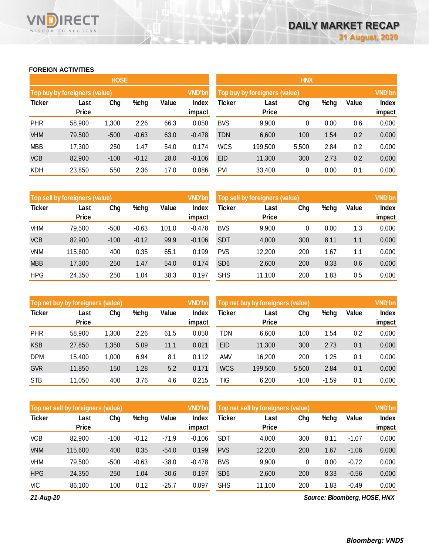## **FOREIGN ACTIVITIES**

WISDOM TO SUCCESS

RECT

|               |                               | <b>HOSE</b> |         |       |                        | <b>HNX</b>    |                               |       |      |       |                 |
|---------------|-------------------------------|-------------|---------|-------|------------------------|---------------|-------------------------------|-------|------|-------|-----------------|
|               | Top buy by foreigners (value) |             |         |       | <b>VND'bn</b>          |               | Top buy by foreigners (value) |       |      |       | <b>VND'bn</b>   |
| <b>Ticker</b> | Last<br><b>Price</b>          | Chg         | %chg    | Value | <b>Index</b><br>impact | <b>Ticker</b> | Last<br><b>Price</b>          | Chg   | %chg | Value | Index<br>impact |
| <b>PHR</b>    | 58,900                        | 1,300       | 2.26    | 66.3  | 0.050                  | <b>BVS</b>    | 9,900                         | 0     | 0.00 | 0.6   | 0.000           |
| <b>VHM</b>    | 79,500                        | $-500$      | $-0.63$ | 63.0  | $-0.478$               | <b>TDN</b>    | 6,600                         | 100   | 1.54 | 0.2   | 0.000           |
| <b>MBB</b>    | 17,300                        | 250         | 1.47    | 54.0  | 0.174                  | <b>WCS</b>    | 199,500                       | 5,500 | 2.84 | 0.2   | 0.000           |
| <b>VCB</b>    | 82,900                        | $-100$      | $-0.12$ | 28.0  | $-0.106$               | <b>EID</b>    | 11,300                        | 300   | 2.73 | 0.2   | 0.000           |
| <b>KDH</b>    | 23,850                        | 550         | 2.36    | 17.0  | 0.086                  | <b>PVI</b>    | 33,400                        | 0     | 0.00 | 0.1   | 0.000           |

|               | Top sell by foreigners (value) |        |         |       |          | Top sell by foreigners (value), |              |     |      |       | <b>VND'bn</b> |
|---------------|--------------------------------|--------|---------|-------|----------|---------------------------------|--------------|-----|------|-------|---------------|
| <b>Ticker</b> | Last                           | Chg    | %chg    | Value | Index    | Ticker                          | Last         | Chg | %chg | Value | Index         |
|               | <b>Price</b>                   |        |         |       | impact   |                                 | <b>Price</b> |     |      |       | impact        |
| VHM           | 79,500                         | $-500$ | $-0.63$ | 101.0 | $-0.478$ | <b>BVS</b>                      | 9,900        | 0   | 0.00 | 1.3   | 0.000         |
| <b>VCB</b>    | 82,900                         | $-100$ | $-0.12$ | 99.9  | $-0.106$ | <b>SDT</b>                      | 4,000        | 300 | 8.11 | 1.1   | 0.000         |
| <b>VNM</b>    | 115,600                        | 400    | 0.35    | 65.1  | 0.199    | <b>PVS</b>                      | 12,200       | 200 | 1.67 | 1.1   | 0.000         |
| <b>MBB</b>    | 17,300                         | 250    | 1.47    | 54.0  | 0.174    | SD <sub>6</sub>                 | 2,600        | 200 | 8.33 | 0.6   | 0.000         |
| <b>HPG</b>    | 24,350                         | 250    | 1.04    | 38.3  | 0.197    | <b>SHS</b>                      | 11,100       | 200 | 1.83 | 0.5   | 0.000         |

|               | Top net buy by foreigners (value) |       |      |       |                 | Top net buy by foreigners (value) |                      | <b>VND'bn</b> |         |       |                        |
|---------------|-----------------------------------|-------|------|-------|-----------------|-----------------------------------|----------------------|---------------|---------|-------|------------------------|
| <b>Ticker</b> | Last<br><b>Price</b>              | Chg   | %chg | Value | Index<br>impact | Ticker                            | Last<br><b>Price</b> | Chg           | %chg    | Value | <b>Index</b><br>impact |
| PHR           | 58,900                            | 1,300 | 2.26 | 61.5  | 0.050           | TDN                               | 6,600                | 100           | 1.54    | 0.2   | 0.000                  |
| <b>KSB</b>    | 27,850                            | 1,350 | 5.09 | 11.1  | 0.021           | <b>EID</b>                        | 11,300               | 300           | 2.73    | 0.1   | 0.000                  |
| <b>DPM</b>    | 15,400                            | 1,000 | 6.94 | 8.1   | 0.112           | AMV                               | 16,200               | 200           | 1.25    | 0.1   | 0.000                  |
| <b>GVR</b>    | 11,850                            | 150   | 1.28 | 5.2   | 0.171           | <b>WCS</b>                        | 199,500              | 5,500         | 2.84    | 0.1   | 0.000                  |
| <b>STB</b>    | 11.050                            | 400   | 3.76 | 4.6   | 0.215           | TIG                               | 6,200                | $-100$        | $-1.59$ | 0.1   | 0.000                  |

|               | Top net sell by foreigners (value) |        |         |         |                 | Top net sell by foreigners (value) | <b>VND'bn</b>        |     |      |         |                        |
|---------------|------------------------------------|--------|---------|---------|-----------------|------------------------------------|----------------------|-----|------|---------|------------------------|
| <b>Ticker</b> | Last<br><b>Price</b>               | Chg    | %chg    | Value   | Index<br>impact | Ticker                             | Last<br><b>Price</b> | Chg | %chg | Value   | <b>Index</b><br>impact |
| <b>VCB</b>    | 82,900                             | $-100$ | $-0.12$ | $-71.9$ | $-0.106$        | <b>SDT</b>                         | 4,000                | 300 | 8.11 | $-1.07$ | 0.000                  |
|               |                                    |        |         |         |                 |                                    |                      |     |      |         |                        |
| <b>VNM</b>    | 115,600                            | 400    | 0.35    | $-54.0$ | 0.199           | <b>PVS</b>                         | 12,200               | 200 | 1.67 | $-1.06$ | 0.000                  |
| VHM           | 79,500                             | $-500$ | $-0.63$ | $-38.0$ | $-0.478$        | <b>BVS</b>                         | 9,900                | 0   | 0.00 | $-0.72$ | 0.000                  |
| <b>HPG</b>    | 24,350                             | 250    | 1.04    | $-30.6$ | 0.197           | SD <sub>6</sub>                    | 2,600                | 200 | 8.33 | $-0.56$ | 0.000                  |
| <b>VIC</b>    | 86,100                             | 100    | 0.12    | $-25.7$ | 0.097           | <b>SHS</b>                         | 11.100               | 200 | 1.83 | $-0.49$ | 0.000                  |

*21-Aug-20*

*Source: Bloomberg, HOSE, HNX*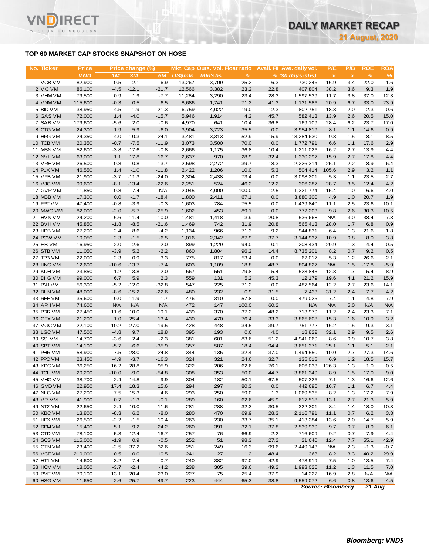## **TOP 60 MARKET CAP STOCKS SNAPSHOT ON HOSE**

ECT

WISDOM TO SUCCESS

| No. Ticker             | <b>Price</b><br><b>VND</b> | 1M               | Price change (%)<br>3M | 6M             | <b>US\$mln</b> | Mkt. Cap Outs. Vol. Float ratio<br><b>M</b> In'shs | $\%$         |              | Avail. Fil Ave. daily vol.<br>$% (30 \, \text{days-shs})$ | P/E<br>$\pmb{\chi}$      | P/B<br>$\pmb{\chi}$ | <b>ROE</b><br>$\%$ | <b>ROA</b><br>$\frac{9}{6}$ |
|------------------------|----------------------------|------------------|------------------------|----------------|----------------|----------------------------------------------------|--------------|--------------|-----------------------------------------------------------|--------------------------|---------------------|--------------------|-----------------------------|
| 1 VCB VM               | 82,900                     | 0.5              | 2.1                    | $-6.9$         | 13,267         | 3,709                                              | 25.2         | 6.3          | 730,246                                                   | 16.9                     | 3.4                 | 22.0               | 1.6                         |
| 2 VIC VM               | 86,100                     | $-4.5$           | $-12.1$                | $-21.7$        | 12,566         | 3,382                                              | 23.2         | 22.8         | 407,804                                                   | 38.2                     | 3.6                 | 9.3                | 1.9                         |
| 3 VHM VM               | 79,500                     | 0.9              | 1.9                    | $-7.7$         | 11,284         | 3,290                                              | 23.4         | 28.3         | 1,597,539                                                 | 11.7                     | 3.8                 | 37.0               | 12.3                        |
| 4 VNM VM               | 115,600                    | $-0.3$           | 0.5                    | 6.5            | 8,686          | 1,741                                              | 71.2         | 41.3         | 1,131,586                                                 | 20.9                     | 6.7                 | 33.0               | 23.9                        |
| 5 BID VM               | 38,950                     | $-4.5$           | $-1.9$                 | $-21.3$        | 6,759          | 4,022                                              | 19.0         | 12.3         | 802,751                                                   | 18.3                     | 2.0                 | 12.3               | 0.6                         |
| 6 GAS VM               | 72,000                     | 1.4              | $-4.0$                 | $-15.7$        | 5,946          | 1,914                                              | 4.2          | 45.7         | 582,413                                                   | 13.9                     | 2.6                 | 20.5               | 15.0                        |
| 7 SAB VM               | 179,600                    | $-5.6$           | 2.0                    | $-0.6$         | 4,970          | 641                                                | 10.4         | 36.8         | 169,109                                                   | 28.4                     | 6.2                 | 23.7               | 17.0                        |
| 8 CTG VM               | 24,300                     | 1.9              | 5.9                    | $-6.0$         | 3,904          | 3,723                                              | 35.5         | 0.0          | 3,954,819                                                 | 8.1                      | 1.1                 | 14.6               | 0.9                         |
| 9 HPG VM               | 24,350                     | 4.0              | 10.3                   | 24.1           | 3,481          | 3,313                                              | 52.9         | 15.9         | 13,284,630                                                | 9.3                      | 1.5                 | 18.1               | 8.5                         |
| 10 TCB VM<br>11 MSN VM | 20,350<br>52,600           | $-0.7$<br>$-3.8$ | $-7.5$<br>$-17.6$      | $-11.9$        | 3,073<br>2,666 | 3,500                                              | 70.0<br>36.8 | 0.0          | 1,772,791<br>1,211,026                                    | 6.6<br>16.2              | 1.1<br>2.7          | 17.6<br>13.9       | 2.9                         |
| 12 NVL VM              | 63,000                     | 1.1              | 17.8                   | $-0.8$<br>16.7 | 2,637          | 1,175<br>970                                       | 28.9         | 10.4<br>32.4 | 1,330,297                                                 | 15.9                     | 2.7                 | 17.8               | 4.4<br>4.4                  |
| 13 VREVM               | 26,500                     | 0.8              | 0.8                    | $-13.7$        | 2,598          | 2,272                                              | 39.7         | 18.3         | 2,226,314                                                 | 25.1                     | 2.2                 | 8.9                | 6.4                         |
| 14 PLX VM              | 46,550                     | 1.4              | $-1.0$                 | $-11.8$        | 2,422          | 1,206                                              | 10.0         | 5.3          | 504,414                                                   | 105.6                    | 2.9                 | 3.2                | 1.1                         |
| 15 VPB VM              | 21,900                     | $-3.7$           | $-11.3$                | $-24.0$        | 2,304          | 2,438                                              | 73.4         | 0.0          | 3,098,201                                                 | 5.3                      | 1.1                 | 23.5               | 2.7                         |
| 16 VJC VM              | 99,600                     | $-8.1$           | $-13.4$                | $-22.6$        | 2,251          | 524                                                | 46.2         | 12.2         | 306,287                                                   | 28.7                     | 3.5                 | 12.4               | 4.2                         |
| 17 GVR VM              | 11,850                     | $-0.8$           | $-7.4$                 | <b>N/A</b>     | 2,045          | 4,000                                              | 100.0        | 12.5         | 1,321,774                                                 | 15.4                     | 1.0                 | 6.6                | 4.0                         |
| 18 MBB VM              | 17,300                     | 0.0              | $-1.7$                 | $-18.4$        | 1,800          | 2,411                                              | 67.1         | 0.0          | 3,880,300                                                 | 4.9                      | 1.0                 | 20.7               | 1.9                         |
| 19 FPT VM              | 47,400                     | $-0.8$           | $-3.9$                 | $-0.3$         | 1,603          | 784                                                | 75.5         | 0.0          | 1,439,840                                                 | 11.1                     | 2.5                 | 23.6               | 10.1                        |
| 20 MWG VM              | 82,000                     | $-2.0$           | $-5.7$                 | $-25.9$        | 1,602          | 453                                                | 89.1         | 0.0          | 772,203                                                   | 9.8                      | 2.6                 | 30.3               | 10.5                        |
| 21 HVN VM              | 24,200                     | $-6.6$           | $-11.4$                | $-10.0$        | 1,481          | 1,418                                              | 3.9          | 20.8         | 536,668                                                   | <b>N/A</b>               | 3.0                 | $-38.4$            | $-7.3$                      |
| 22 BVHVM               | 45,850                     | $-1.8$           | $-8.5$                 | $-21.6$        | 1,469          | 742                                                | 31.9         | 20.8         | 565,413                                                   | 28.0                     | 1.7                 | 6.8                | 0.9                         |
| 23 HDB VM              | 27,200                     | 2.4              | 8.6                    | $-4.2$         | 1,134          | 966                                                | 71.3         | 9.2          | 944,831                                                   | 6.4                      | 1.3                 | 21.6               | 1.8                         |
| 24 POW VM              | 10,050                     | 2.3              | $-1.5$                 | $-6.5$         | 1,016          | 2,342                                              | 87.9         | 37.7         | 3,144,937                                                 | 10.9                     | 0.8                 | 8.0                | 3.8                         |
| 25 EIB VM              | 16,950                     | $-2.0$           | $-2.6$                 | $-2.0$         | 899            | 1,229                                              | 94.0         | 0.1          | 208,434                                                   | 29.9                     | 1.3                 | 4.4                | 0.5                         |
| 26 STB VM              | 11,050                     | $-3.9$           | 5.2                    | $-2.2$         | 860            | 1,804                                              | 96.2         | 14.4         | 8,735,201                                                 | 8.2                      | 0.7                 | 9.2                | 0.5                         |
| 27 TPB VM              | 22,000                     | 2.3              | 0.9                    | 3.3            | 775            | 817                                                | 53.4         | 0.0          | 62,017                                                    | 5.3                      | 1.2                 | 26.6               | 2.1                         |
| 28 HNG VM              | 12,600                     | $-10.6$          | $-13.7$                | $-7.4$         | 603            | 1,109                                              | 18.8         | 48.7         | 804,827                                                   | <b>N/A</b>               | 1.5                 | $-17.8$            | $-5.9$                      |
| 29 KDH VM              | 23,850                     | 1.2              | 13.8<br>5.9            | 2.0            | 567            | 551                                                | 79.8<br>5.2  | 5.4          | 523,843                                                   | 12.3                     | 1.7                 | 15.4               | 8.9                         |
| 30 DHG VM<br>31 PNJ VM | 99,000                     | 6.7<br>$-5.2$    | $-12.0$                | 2.3<br>$-32.8$ | 559<br>547     | 131                                                | 71.2         | 45.3<br>0.0  | 12,179                                                    | 19.6                     | 4.1<br>2.7          | 21.2<br>23.6       | 15.9<br>14.1                |
| 32 BHN VM              | 56,300<br>48,000           | $-8.6$           | $-15.2$                | $-22.6$        | 480            | 225<br>232                                         | 0.9          | 31.5         | 487,564<br>7,433                                          | 12.2<br>31.2             | 2.4                 | 7.7                | 4.2                         |
| 33 REE VM              | 35,600                     | 9.0              | 11.9                   | 1.7            | 476            | 310                                                | 57.8         | 0.0          | 479,025                                                   | 7.4                      | 1.1                 | 14.8               | 7.9                         |
| 34 APH VM              | 74,600                     | <b>N/A</b>       | <b>N/A</b>             | <b>N/A</b>     | 472            | 147                                                | 100.0        | 60.2         | <b>N/A</b>                                                | <b>N/A</b>               | 5.0                 | <b>N/A</b>         | <b>N/A</b>                  |
| 35 PDR VM              | 27,450                     | 11.6             | 10.0                   | 19.1           | 439            | 370                                                | 37.2         | 48.2         | 713,979                                                   | 11.2                     | 2.4                 | 23.3               | 7.1                         |
| 36 GEX VM              | 21,200                     | 1.0              | 25.4                   | 13.4           | 430            | 470                                                | 76.4         | 33.3         | 3,865,608                                                 | 15.3                     | 1.6                 | 10.9               | 3.2                         |
| 37 VGC VM              | 22,100                     | 10.2             | 27.0                   | 19.5           | 428            | 448                                                | 34.5         | 39.7         | 751,772                                                   | 16.2                     | 1.5                 | 9.3                | 3.1                         |
| 38 LGC VM              | 47,500                     | $-4.8$           | 9.7                    | 18.8           | 395            | 193                                                | 0.6          | 4.0          | 18,822                                                    | 32.1                     | 2.9                 | 9.5                | 2.6                         |
| 39 SSIVM               | 14,700                     | $-3.6$           | 2.4                    | $-2.3$         | 381            | 601                                                | 83.6         | 51.2         | 4,941,069                                                 | 8.6                      | 0.9                 | 10.7               | 3.8                         |
| 40 SBT VM              | 14,100                     | $-5.7$           | $-6.6$                 | $-35.9$        | 357            | 587                                                | 18.4         | 94.4         | 3,651,371                                                 | 25.1                     | 1.1                 | 5.1                | 2.1                         |
| 41 PHR VM              | 58,900                     | 7.5              | 28.0                   | 24.8           | 344            | 135                                                | 32.4         | 37.0         | 1,494,550                                                 | 10.0                     | 2.7                 | 27.3               | 14.6                        |
| 42 PPC VM              | 23,450                     | $-4.9$           | $-3.7$                 | $-16.3$        | 324            | 321                                                | 24.6         | 32.7         | 135,018                                                   | 6.9                      | 1.2                 | 18.5               | 15.7                        |
| 43 KDC VM              | 36,250                     | 16.2             | 28.8                   | 95.9           | 322            | 206                                                | 62.6         | 76.1         | 606,033                                                   | 126.3                    | 1.3                 | 1.0                | 0.5                         |
| 44 TCH VM              | 20,200                     | $-10.0$          | $-9.0$                 | $-54.8$        | 308            | 353                                                | 50.0         | 44.7         | 3,861,349                                                 | 8.9                      | 1.5                 | 17.0               | 9.0                         |
| 45 VHC VM              | 38,700                     | 2.4              | 14.8                   | 9.9            | 304            | 182                                                | 50.1         | 67.5         | 507,326                                                   | 7.1                      | 1.3                 | 16.6               | 12.6                        |
| 46 GMD VM              | 22,950                     | 17.4             | 18.3                   | 15.6           | 294            | 297                                                | 80.3         | 0.0          | 442,695                                                   | 16.7                     | 1.1                 | 6.7                | 4.4                         |
| 47 NLG VM              | 27,200                     | 7.5              | 15.3                   | 4.6            | 293            | 250                                                | 59.0         | 1.3          | 1,069,535                                                 | 8.2                      | 1.3                 | 17.2               | 7.9                         |
| <b>48 VPIVM</b>        | 41,900                     | 0.7              | $-1.3$                 | $-0.1$         | 289            | 160                                                | 62.6         | 45.9         | 617,518                                                   | 13.1                     | 2.7                 | 21.3               | 5.9                         |
| 49 NT2 VM              | 22,650                     | $-2.4$           | 10.0                   | 11.6           | 281            | 288                                                | 32.3         | 30.5         | 322,301                                                   | 8.4                      | 1.4                 | 18.0               | 10.3                        |
| 50 KBC VM              | 13,800                     | $-8.3$           | 6.2                    | $-8.0$         | 280            | 470                                                | 69.9         | 28.3         | 2,116,791                                                 | 11.1                     | 0.7                 | 6.2                | 3.3                         |
| 51 HPX VM              | 26,500                     | $-2.2$           | $-1.5$                 | 10.4           | 263            | 230                                                | 33.7         | 35.1         | 413,284                                                   | 13.6                     | 2.0                 | 14.7               | 5.9                         |
| 52 DPM VM              | 15,400                     | 5.1              | 9.2                    | 24.2           | 260            | 391                                                | 32.1         | 37.8         | 2,539,939                                                 | 9.7                      | 0.7                 | 8.9                | 6.1                         |
| 53 CTD VM<br>54 SCS VM | 78,100                     | $-5.3$           | 12.4                   | 16.7           | 257            | 76                                                 | 66.9         | 2.2          | 716,609                                                   | 9.2                      | 0.7                 | 7.9                | 4.4                         |
|                        | 115,000                    | $-1.9$           | 0.9                    | $-0.5$         | 252            | 51                                                 | 98.3         | 27.2         | 21,640                                                    | 12.4                     | 7.7                 | 55.1               | 42.9                        |
| 55 GTN VM<br>56 VCF VM | 23,400<br>210,000          | $-2.5$           | 37.2<br>0.0            | 32.6           | 251<br>241     | 249<br>27                                          | 16.3<br>1.2  | 99.6<br>48.4 | 2,449,143<br>363                                          | <b>N/A</b><br>8.2        | 2.3<br>3.3          | $-1.3$<br>40.2     | $-0.7$                      |
| 57 HT1 VM              | 14,600                     | 0.5<br>3.2       | 7.4                    | 10.5<br>$-0.7$ | 240            | 382                                                | 97.0         | 42.9         | 473,919                                                   | 7.5                      | 1.0                 | 13.5               | 29.9                        |
| 58 HCM VM              | 18,050                     | $-3.7$           | $-2.4$                 | $-4.2$         | 238            | 305                                                | 39.6         | 49.2         | 1,993,026                                                 | 11.2                     | 1.3                 | 11.5               | 7.4<br>7.0                  |
| 59 PME VM              | 70,100                     | 13.1             | 20.4                   | 23.0           | 227            | 75                                                 | 25.4         | 37.9         | 14,222                                                    | 16.9                     | 2.8                 | <b>N/A</b>         | ΝA                          |
| 60 HSG VM              | 11,650                     | 2.6              | 25.7                   | 49.7           | 223            | 444                                                | 65.3         | 38.8         | 9,559,072                                                 | 6.6                      | 0.8                 | 13.6               | 4.5                         |
|                        |                            |                  |                        |                |                |                                                    |              |              |                                                           | <b>Source: Bloomberg</b> |                     | 21 Aug             |                             |